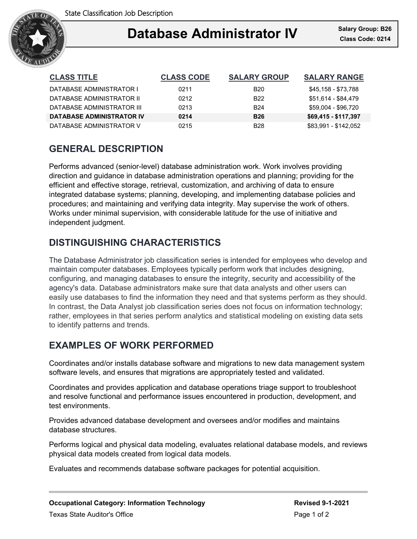

## Ξ **Database Administrator IV Class Code: 0214**

| <b>CLASS TITLE</b>               | <b>CLASS CODE</b> | <b>SALARY GROUP</b> | <b>SALARY RANGE</b>  |
|----------------------------------|-------------------|---------------------|----------------------|
| DATABASE ADMINISTRATOR I         | 0211              | <b>B20</b>          | \$45,158 - \$73,788  |
| DATABASE ADMINISTRATOR II        | 0212              | B <sub>22</sub>     | \$51,614 - \$84,479  |
| DATABASE ADMINISTRATOR III       | 0213              | <b>B24</b>          | \$59,004 - \$96,720  |
| <b>DATABASE ADMINISTRATOR IV</b> | 0214              | <b>B26</b>          | \$69,415 - \$117,397 |
| DATABASE ADMINISTRATOR V         | 0215              | B <sub>28</sub>     | \$83.991 - \$142.052 |

# **GENERAL DESCRIPTION**

Performs advanced (senior-level) database administration work. Work involves providing direction and guidance in database administration operations and planning; providing for the efficient and effective storage, retrieval, customization, and archiving of data to ensure integrated database systems; planning, developing, and implementing database policies and procedures; and maintaining and verifying data integrity. May supervise the work of others. Works under minimal supervision, with considerable latitude for the use of initiative and independent judgment.

# **DISTINGUISHING CHARACTERISTICS**

The Database Administrator job classification series is intended for employees who develop and maintain computer databases. Employees typically perform work that includes designing, configuring, and managing databases to ensure the integrity, security and accessibility of the agency's data. Database administrators make sure that data analysts and other users can easily use databases to find the information they need and that systems perform as they should. In contrast, the Data Analyst job classification series does not focus on information technology; rather, employees in that series perform analytics and statistical modeling on existing data sets to identify patterns and trends.

## **EXAMPLES OF WORK PERFORMED**

Coordinates and/or installs database software and migrations to new data management system software levels, and ensures that migrations are appropriately tested and validated.

Coordinates and provides application and database operations triage support to troubleshoot and resolve functional and performance issues encountered in production, development, and test environments.

Provides advanced database development and oversees and/or modifies and maintains database structures.

Performs logical and physical data modeling, evaluates relational database models, and reviews physical data models created from logical data models.

Evaluates and recommends database software packages for potential acquisition.